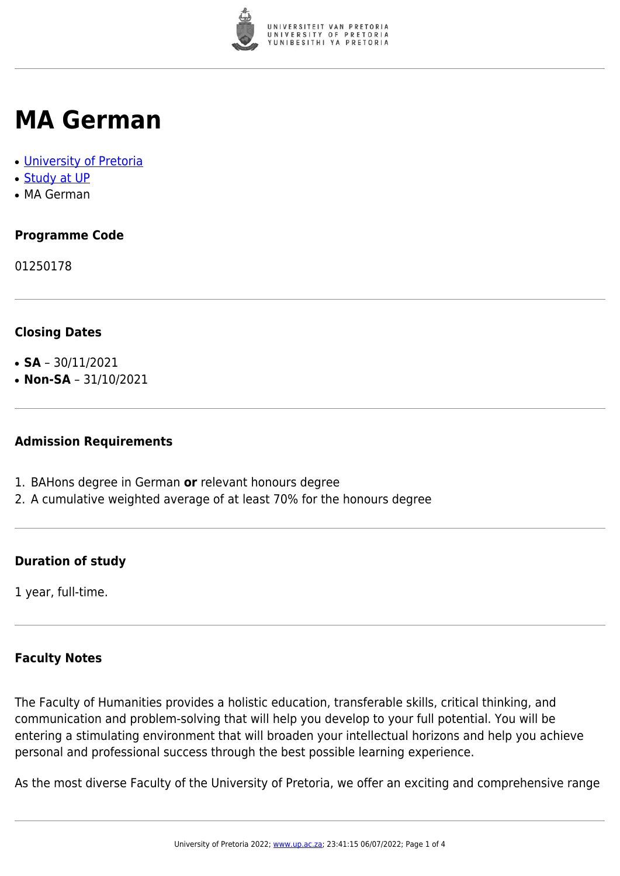

## **MA German**

- [University of Pretoria](https://www.up.ac.za/home)
- [Study at UP](https://www.up.ac.za/programmes)
- MA German

### **Programme Code**

01250178

#### **Closing Dates**

- **SA**  $30/11/2021$
- $\cdot$  **Non-SA** 31/10/2021

#### **Admission Requirements**

- 1. BAHons degree in German **or** relevant honours degree
- 2. A cumulative weighted average of at least 70% for the honours degree

#### **Duration of study**

1 year, full-time.

#### **Faculty Notes**

The Faculty of Humanities provides a holistic education, transferable skills, critical thinking, and communication and problem-solving that will help you develop to your full potential. You will be entering a stimulating environment that will broaden your intellectual horizons and help you achieve personal and professional success through the best possible learning experience.

As the most diverse Faculty of the University of Pretoria, we offer an exciting and comprehensive range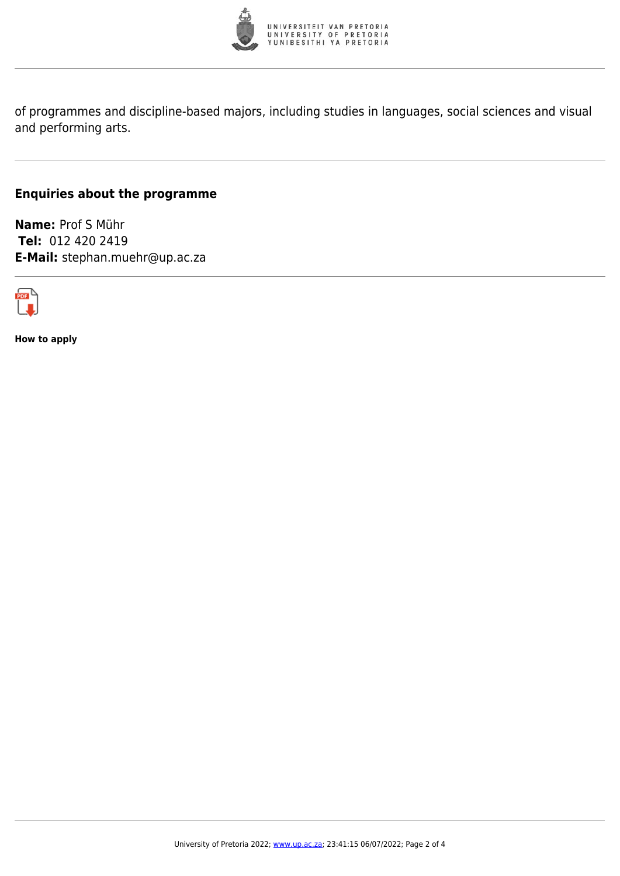

of programmes and discipline-based majors, including studies in languages, social sciences and visual and performing arts.

#### **Enquiries about the programme**

**Name:** Prof S Mühr **Tel:** 012 420 2419 **E-Mail:** stephan.muehr@up.ac.za



**How to apply**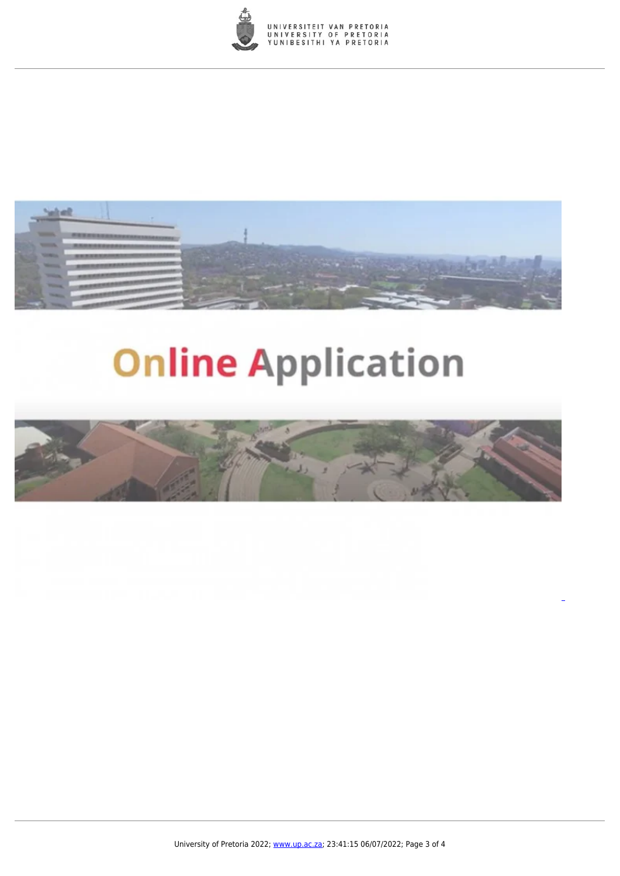



# **Online Application**